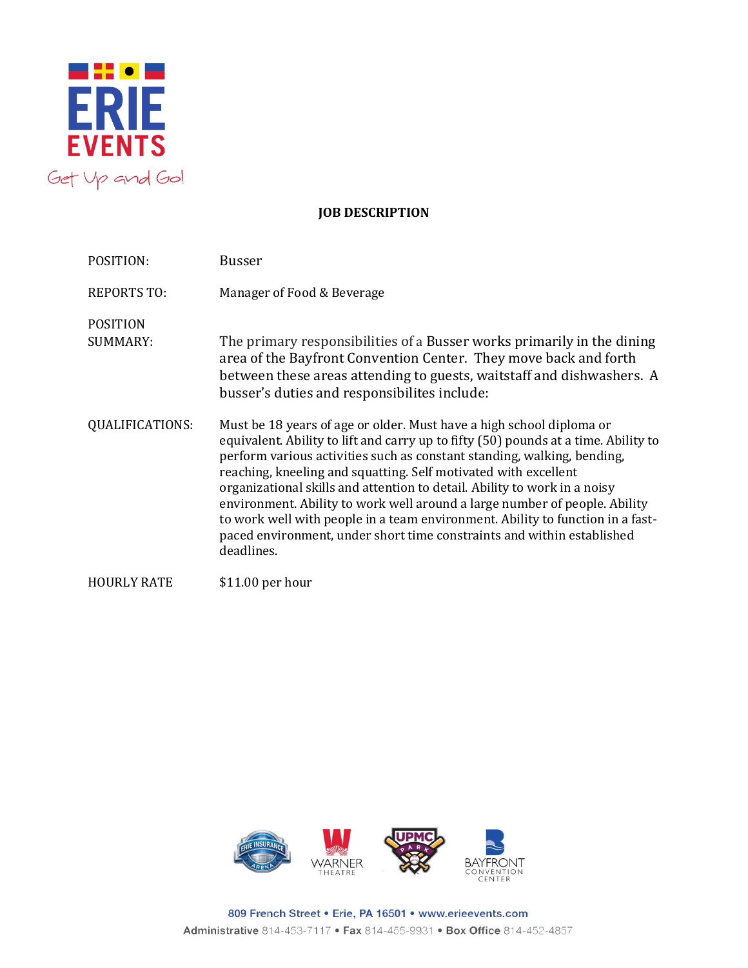

## **JOB DESCRIPTION**

| POSITION:                          | <b>Busser</b>                                                                                                                                                                                                                                                                                                                                                                                                                                                                                                                                                                                                                                  |
|------------------------------------|------------------------------------------------------------------------------------------------------------------------------------------------------------------------------------------------------------------------------------------------------------------------------------------------------------------------------------------------------------------------------------------------------------------------------------------------------------------------------------------------------------------------------------------------------------------------------------------------------------------------------------------------|
| <b>REPORTS TO:</b>                 | Manager of Food & Beverage                                                                                                                                                                                                                                                                                                                                                                                                                                                                                                                                                                                                                     |
| <b>POSITION</b><br><b>SUMMARY:</b> | The primary responsibilities of a Busser works primarily in the dining<br>area of the Bayfront Convention Center. They move back and forth<br>between these areas attending to guests, waitstaff and dishwashers. A<br>busser's duties and responsibilites include:                                                                                                                                                                                                                                                                                                                                                                            |
| <b>QUALIFICATIONS:</b>             | Must be 18 years of age or older. Must have a high school diploma or<br>equivalent. Ability to lift and carry up to fifty (50) pounds at a time. Ability to<br>perform various activities such as constant standing, walking, bending,<br>reaching, kneeling and squatting. Self motivated with excellent<br>organizational skills and attention to detail. Ability to work in a noisy<br>environment. Ability to work well around a large number of people. Ability<br>to work well with people in a team environment. Ability to function in a fast-<br>paced environment, under short time constraints and within established<br>deadlines. |
| <b>HOURLY RATE</b>                 | $$11.00$ per hour                                                                                                                                                                                                                                                                                                                                                                                                                                                                                                                                                                                                                              |



809 French Street . Erie, PA 16501 . www.erieevents.com Administrative 814-453-7117 . Fax 814-455-9931 . Box Office 814-452-4857